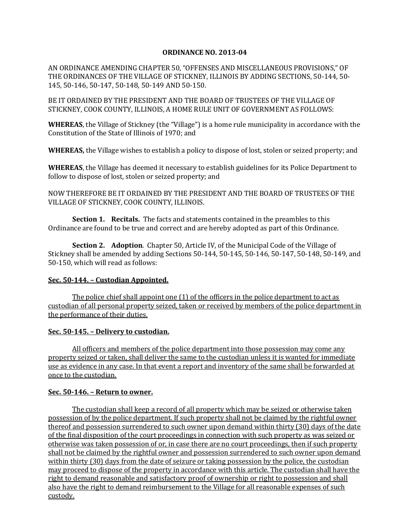### **ORDINANCE NO. 2013-04**

AN ORDINANCE AMENDING CHAPTER 50, "OFFENSES AND MISCELLANEOUS PROVISIONS," OF THE ORDINANCES OF THE VILLAGE OF STICKNEY, ILLINOIS BY ADDING SECTIONS, 50-144, 50- 145, 50-146, 50-147, 50-148, 50-149 AND 50-150.

BE IT ORDAINED BY THE PRESIDENT AND THE BOARD OF TRUSTEES OF THE VILLAGE OF STICKNEY, COOK COUNTY, ILLINOIS, A HOME RULE UNIT OF GOVERNMENT AS FOLLOWS:

**WHEREAS**, the Village of Stickney (the "Village") is a home rule municipality in accordance with the Constitution of the State of Illinois of 1970; and

**WHEREAS,** the Village wishes to establish a policy to dispose of lost, stolen or seized property; and

**WHEREAS**, the Village has deemed it necessary to establish guidelines for its Police Department to follow to dispose of lost, stolen or seized property; and

NOW THEREFORE BE IT ORDAINED BY THE PRESIDENT AND THE BOARD OF TRUSTEES OF THE VILLAGE OF STICKNEY, COOK COUNTY, ILLINOIS.

**Section 1. Recitals.** The facts and statements contained in the preambles to this Ordinance are found to be true and correct and are hereby adopted as part of this Ordinance.

**Section 2. Adoption**. Chapter 50, Article IV, of the Municipal Code of the Village of Stickney shall be amended by adding Sections 50-144, 50-145, 50-146, 50-147, 50-148, 50-149, and 50-150, which will read as follows:

### **Sec. 50-144. – Custodian Appointed.**

The police chief shall appoint one (1) of the officers in the police department to act as custodian of all personal property seized, taken or received by members of the police department in the performance of their duties.

### **Sec. 50-145. – Delivery to custodian.**

All officers and members of the police department into those possession may come any property seized or taken, shall deliver the same to the custodian unless it is wanted for immediate use as evidence in any case. In that event a report and inventory of the same shall be forwarded at once to the custodian.

### **Sec. 50-146. – Return to owner.**

The custodian shall keep a record of all property which may be seized or otherwise taken possession of by the police department. If such property shall not be claimed by the rightful owner thereof and possession surrendered to such owner upon demand within thirty (30) days of the date of the final disposition of the court proceedings in connection with such property as was seized or otherwise was taken possession of or, in case there are no court proceedings, then if such property shall not be claimed by the rightful owner and possession surrendered to such owner upon demand within thirty (30) days from the date of seizure or taking possession by the police, the custodian may proceed to dispose of the property in accordance with this article. The custodian shall have the right to demand reasonable and satisfactory proof of ownership or right to possession and shall also have the right to demand reimbursement to the Village for all reasonable expenses of such custody.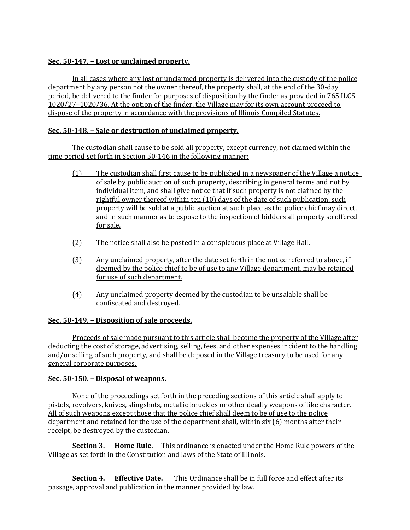# **Sec. 50-147. – Lost or unclaimed property.**

In all cases where any lost or unclaimed property is delivered into the custody of the police department by any person not the owner thereof, the property shall, at the end of the 30-day period, be delivered to the finder for purposes of disposition by the finder as provided in 765 ILCS 1020/27–1020/36. At the option of the finder, the Village may for its own account proceed to dispose of the property in accordance with the provisions of Illinois Compiled Statutes.

# **Sec. 50-148. – Sale or destruction of unclaimed property.**

The custodian shall cause to be sold all property, except currency, not claimed within the time period set forth in Section 50-146 in the following manner:

- (1) The custodian shall first cause to be published in a newspaper of the Village a notice of sale by public auction of such property, describing in general terms and not by individual item, and shall give notice that if such property is not claimed by the rightful owner thereof within ten (10) days of the date of such publication, such property will be sold at a public auction at such place as the police chief may direct, and in such manner as to expose to the inspection of bidders all property so offered for sale.
- (2) The notice shall also be posted in a conspicuous place at Village Hall.
- (3) Any unclaimed property, after the date set forth in the notice referred to above, if deemed by the police chief to be of use to any Village department, may be retained for use of such department.
- (4) Any unclaimed property deemed by the custodian to be unsalable shall be confiscated and destroyed.

## **Sec. 50-149. – Disposition of sale proceeds.**

Proceeds of sale made pursuant to this article shall become the property of the Village after deducting the cost of storage, advertising, selling, fees, and other expenses incident to the handling and/or selling of such property, and shall be deposed in the Village treasury to be used for any general corporate purposes.

## **Sec. 50-150. – Disposal of weapons.**

None of the proceedings set forth in the preceding sections of this article shall apply to pistols, revolvers, knives, slingshots, metallic knuckles or other deadly weapons of like character. All of such weapons except those that the police chief shall deem to be of use to the police department and retained for the use of the department shall, within six (6) months after their receipt, be destroyed by the custodian.

**Section 3. Home Rule.** This ordinance is enacted under the Home Rule powers of the Village as set forth in the Constitution and laws of the State of Illinois.

**Section 4. Effective Date.** This Ordinance shall be in full force and effect after its passage, approval and publication in the manner provided by law.